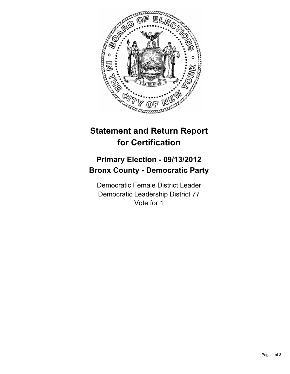

## **Statement and Return Report for Certification**

## **Primary Election - 09/13/2012 Bronx County - Democratic Party**

Democratic Female District Leader Democratic Leadership District 77 Vote for 1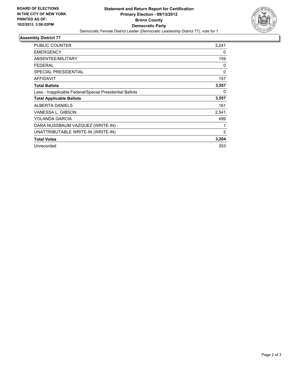

## **Assembly District 77**

| <b>PUBLIC COUNTER</b>                                    | 3,241 |
|----------------------------------------------------------|-------|
| <b>EMERGENCY</b>                                         | 0     |
| ABSENTEE/MILITARY                                        | 159   |
| <b>FEDERAL</b>                                           | 0     |
| <b>SPECIAL PRESIDENTIAL</b>                              | 0     |
| <b>AFFIDAVIT</b>                                         | 157   |
| <b>Total Ballots</b>                                     | 3,557 |
| Less - Inapplicable Federal/Special Presidential Ballots | 0     |
| <b>Total Applicable Ballots</b>                          | 3,557 |
| <b>ALBERTA DANIELS</b>                                   | 161   |
| VANESSA L. GIBSON                                        | 2,541 |
| YOLANDA GARCIA                                           | 499   |
| DARA NUSSBAUM VAZQUEZ (WRITE-IN)                         | 1     |
| UNATTRIBUTABLE WRITE-IN (WRITE-IN)                       | 2     |
| <b>Total Votes</b>                                       | 3,204 |
| Unrecorded                                               | 353   |